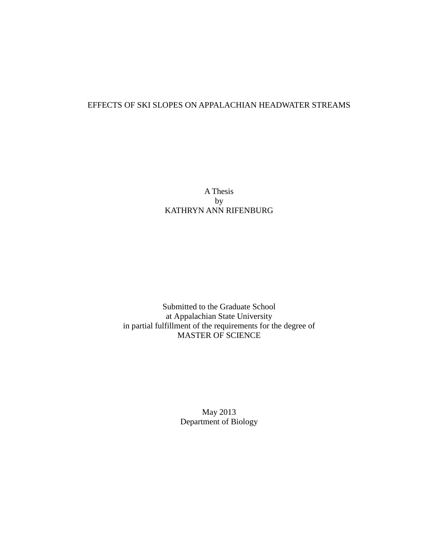# EFFECTS OF SKI SLOPES ON APPALACHIAN HEADWATER STREAMS

A Thesis by KATHRYN ANN RIFENBURG

Submitted to the Graduate School at Appalachian State University in partial fulfillment of the requirements for the degree of MASTER OF SCIENCE

> May 2013 Department of Biology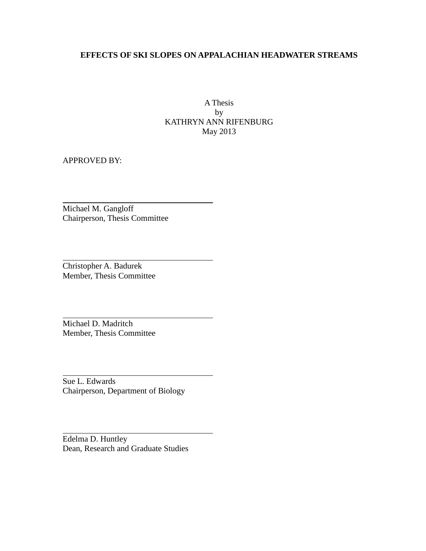## **EFFECTS OF SKI SLOPES ON APPALACHIAN HEADWATER STREAMS**

A Thesis by KATHRYN ANN RIFENBURG May 2013

APPROVED BY:

Michael M. Gangloff Chairperson, Thesis Committee

Christopher A. Badurek Member, Thesis Committee

Michael D. Madritch Member, Thesis Committee

Sue L. Edwards Chairperson, Department of Biology

Edelma D. Huntley Dean, Research and Graduate Studies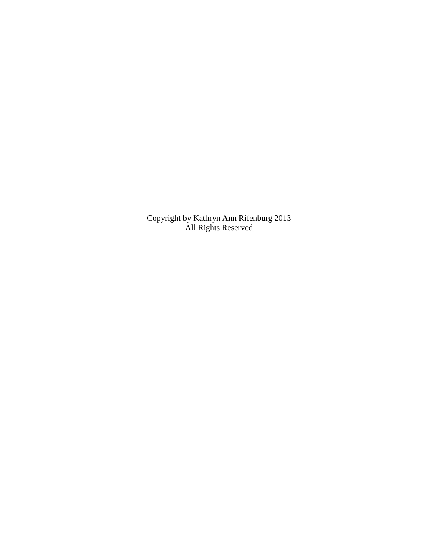Copyright by Kathryn Ann Rifenburg 2013 All Rights Reserved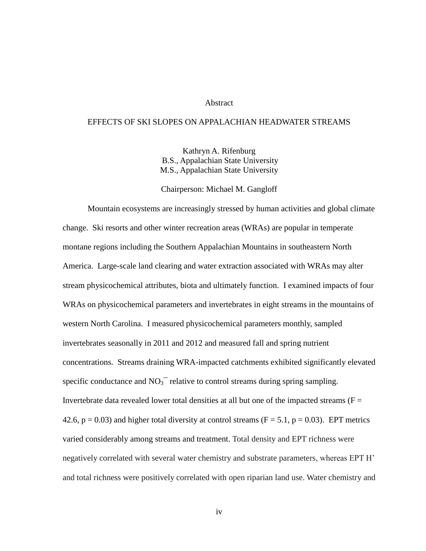#### Abstract

#### EFFECTS OF SKI SLOPES ON APPALACHIAN HEADWATER STREAMS

Kathryn A. Rifenburg B.S., Appalachian State University M.S., Appalachian State University

Chairperson: Michael M. Gangloff

Mountain ecosystems are increasingly stressed by human activities and global climate change. Ski resorts and other winter recreation areas (WRAs) are popular in temperate montane regions including the Southern Appalachian Mountains in southeastern North America. Large-scale land clearing and water extraction associated with WRAs may alter stream physicochemical attributes, biota and ultimately function. I examined impacts of four WRAs on physicochemical parameters and invertebrates in eight streams in the mountains of western North Carolina. I measured physicochemical parameters monthly, sampled invertebrates seasonally in 2011 and 2012 and measured fall and spring nutrient concentrations. Streams draining WRA-impacted catchments exhibited significantly elevated specific conductance and  $NO<sub>3</sub><sup>-</sup>$  relative to control streams during spring sampling. Invertebrate data revealed lower total densities at all but one of the impacted streams ( $F =$ 42.6,  $p = 0.03$ ) and higher total diversity at control streams (F = 5.1,  $p = 0.03$ ). EPT metrics varied considerably among streams and treatment. Total density and EPT richness were negatively correlated with several water chemistry and substrate parameters, whereas EPT H' and total richness were positively correlated with open riparian land use. Water chemistry and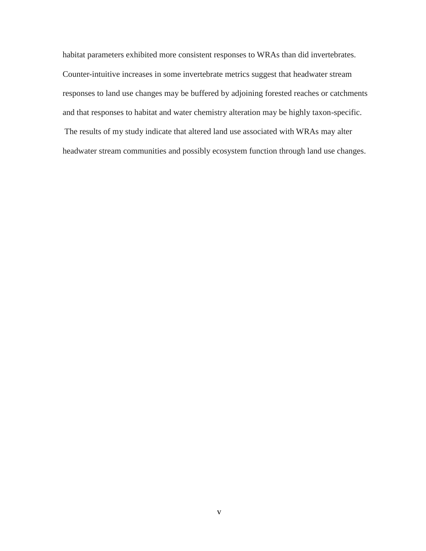habitat parameters exhibited more consistent responses to WRAs than did invertebrates. Counter-intuitive increases in some invertebrate metrics suggest that headwater stream responses to land use changes may be buffered by adjoining forested reaches or catchments and that responses to habitat and water chemistry alteration may be highly taxon-specific. The results of my study indicate that altered land use associated with WRAs may alter headwater stream communities and possibly ecosystem function through land use changes.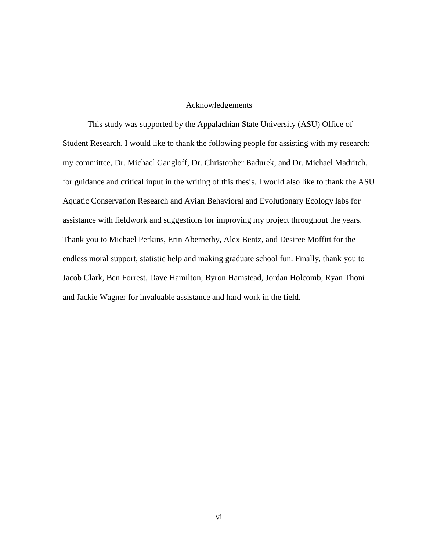#### Acknowledgements

This study was supported by the Appalachian State University (ASU) Office of Student Research. I would like to thank the following people for assisting with my research: my committee, Dr. Michael Gangloff, Dr. Christopher Badurek, and Dr. Michael Madritch, for guidance and critical input in the writing of this thesis. I would also like to thank the ASU Aquatic Conservation Research and Avian Behavioral and Evolutionary Ecology labs for assistance with fieldwork and suggestions for improving my project throughout the years. Thank you to Michael Perkins, Erin Abernethy, Alex Bentz, and Desiree Moffitt for the endless moral support, statistic help and making graduate school fun. Finally, thank you to Jacob Clark, Ben Forrest, Dave Hamilton, Byron Hamstead, Jordan Holcomb, Ryan Thoni and Jackie Wagner for invaluable assistance and hard work in the field.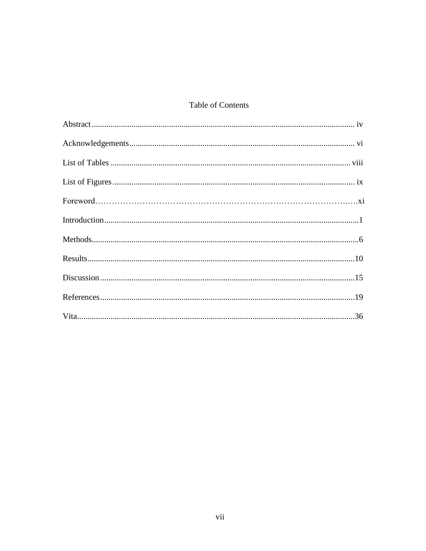# Table of Contents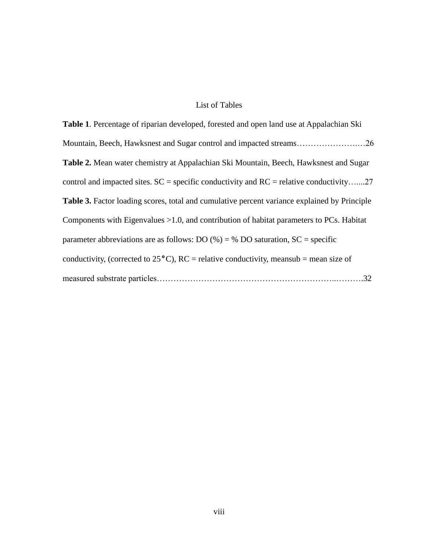### List of Tables

**Table 1**. Percentage of riparian developed, forested and open land use at Appalachian Ski Mountain, Beech, Hawksnest and Sugar control and impacted streams………………….…26 **Table 2.** Mean water chemistry at Appalachian Ski Mountain, Beech, Hawksnest and Sugar control and impacted sites.  $SC = specific$  conductivity and  $RC =$  relative conductivity.......27 **Table 3.** Factor loading scores, total and cumulative percent variance explained by Principle Components with Eigenvalues >1.0, and contribution of habitat parameters to PCs. Habitat parameter abbreviations are as follows: DO  $(\%) = \%$  DO saturation, SC = specific conductivity, (corrected to 25**°**C), RC = relative conductivity, meansub = mean size of measured substrate particles………………………………………………………..……….32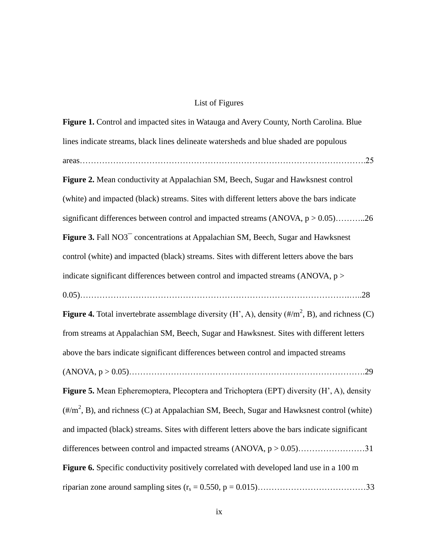# List of Figures

| Figure 1. Control and impacted sites in Watauga and Avery County, North Carolina. Blue                          |
|-----------------------------------------------------------------------------------------------------------------|
| lines indicate streams, black lines delineate watersheds and blue shaded are populous                           |
|                                                                                                                 |
| Figure 2. Mean conductivity at Appalachian SM, Beech, Sugar and Hawksnest control                               |
| (white) and impacted (black) streams. Sites with different letters above the bars indicate                      |
| significant differences between control and impacted streams (ANOVA, $p > 0.05$ )26                             |
| Figure 3. Fall NO3 <sup>-</sup> concentrations at Appalachian SM, Beech, Sugar and Hawksnest                    |
| control (white) and impacted (black) streams. Sites with different letters above the bars                       |
| indicate significant differences between control and impacted streams (ANOVA, $p$ >                             |
|                                                                                                                 |
| <b>Figure 4.</b> Total invertebrate assemblage diversity $(H', A)$ , density $(\#/m^2, B)$ , and richness $(C)$ |
| from streams at Appalachian SM, Beech, Sugar and Hawksnest. Sites with different letters                        |
| above the bars indicate significant differences between control and impacted streams                            |
|                                                                                                                 |
| Figure 5. Mean Epheremoptera, Plecoptera and Trichoptera (EPT) diversity (H', A), density                       |
| $(\frac{\#}{m^2}, B)$ , and richness (C) at Appalachian SM, Beech, Sugar and Hawksnest control (white)          |
| and impacted (black) streams. Sites with different letters above the bars indicate significant                  |
| differences between control and impacted streams $(ANOVA, p > 0.05)$ 31                                         |
| Figure 6. Specific conductivity positively correlated with developed land use in a 100 m                        |
|                                                                                                                 |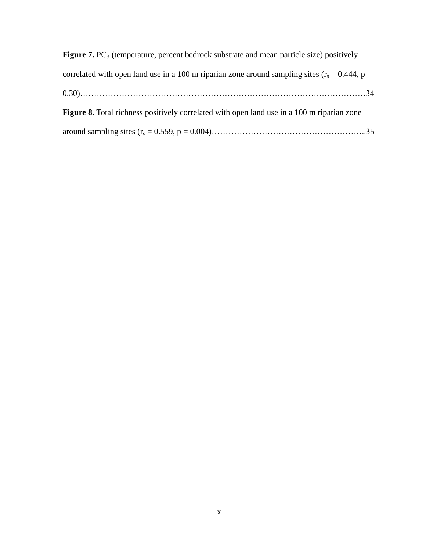| <b>Figure 7.</b> PC <sub>3</sub> (temperature, percent bedrock substrate and mean particle size) positively |
|-------------------------------------------------------------------------------------------------------------|
| correlated with open land use in a 100 m riparian zone around sampling sites ( $r_s = 0.444$ , p =          |
|                                                                                                             |
| Figure 8. Total richness positively correlated with open land use in a 100 m riparian zone                  |
|                                                                                                             |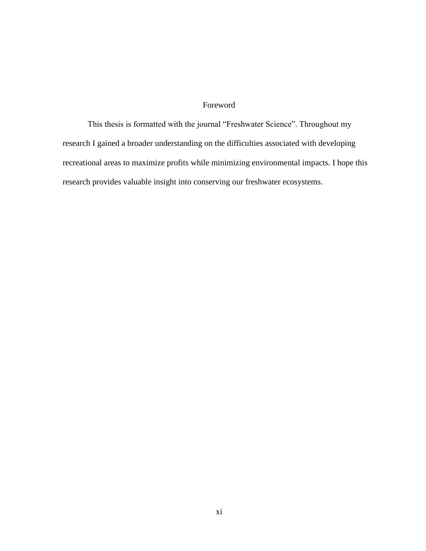## Foreword

This thesis is formatted with the journal "Freshwater Science". Throughout my research I gained a broader understanding on the difficulties associated with developing recreational areas to maximize profits while minimizing environmental impacts. I hope this research provides valuable insight into conserving our freshwater ecosystems.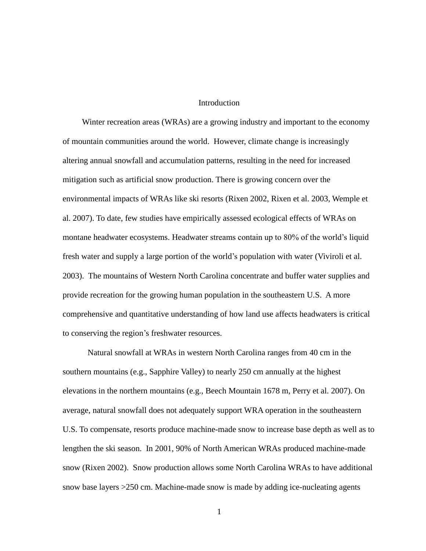#### Introduction

Winter recreation areas (WRAs) are a growing industry and important to the economy of mountain communities around the world. However, climate change is increasingly altering annual snowfall and accumulation patterns, resulting in the need for increased mitigation such as artificial snow production. There is growing concern over the environmental impacts of WRAs like ski resorts (Rixen 2002, Rixen et al. 2003, Wemple et al. 2007). To date, few studies have empirically assessed ecological effects of WRAs on montane headwater ecosystems. Headwater streams contain up to 80% of the world's liquid fresh water and supply a large portion of the world's population with water (Viviroli et al. 2003). The mountains of Western North Carolina concentrate and buffer water supplies and provide recreation for the growing human population in the southeastern U.S. A more comprehensive and quantitative understanding of how land use affects headwaters is critical to conserving the region's freshwater resources.

Natural snowfall at WRAs in western North Carolina ranges from 40 cm in the southern mountains (e.g., Sapphire Valley) to nearly 250 cm annually at the highest elevations in the northern mountains (e.g., Beech Mountain 1678 m, Perry et al. 2007). On average, natural snowfall does not adequately support WRA operation in the southeastern U.S. To compensate, resorts produce machine-made snow to increase base depth as well as to lengthen the ski season. In 2001, 90% of North American WRAs produced machine-made snow (Rixen 2002). Snow production allows some North Carolina WRAs to have additional snow base layers >250 cm. Machine-made snow is made by adding ice-nucleating agents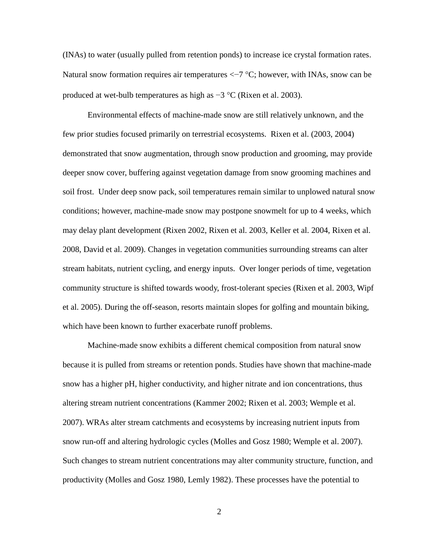(INAs) to water (usually pulled from retention ponds) to increase ice crystal formation rates. Natural snow formation requires air temperatures  $\langle -7 \degree C$ ; however, with INAs, snow can be produced at wet-bulb temperatures as high as  $-3$  °C (Rixen et al. 2003).

Environmental effects of machine-made snow are still relatively unknown, and the few prior studies focused primarily on terrestrial ecosystems. Rixen et al. (2003, 2004) demonstrated that snow augmentation, through snow production and grooming, may provide deeper snow cover, buffering against vegetation damage from snow grooming machines and soil frost. Under deep snow pack, soil temperatures remain similar to unplowed natural snow conditions; however, machine-made snow may postpone snowmelt for up to 4 weeks, which may delay plant development (Rixen 2002, Rixen et al. 2003, Keller et al. 2004, Rixen et al. 2008, David et al. 2009). Changes in vegetation communities surrounding streams can alter stream habitats, nutrient cycling, and energy inputs. Over longer periods of time, vegetation community structure is shifted towards woody, frost-tolerant species (Rixen et al. 2003, Wipf et al. 2005). During the off-season, resorts maintain slopes for golfing and mountain biking, which have been known to further exacerbate runoff problems.

Machine-made snow exhibits a different chemical composition from natural snow because it is pulled from streams or retention ponds. Studies have shown that machine-made snow has a higher pH, higher conductivity, and higher nitrate and ion concentrations, thus altering stream nutrient concentrations (Kammer 2002; Rixen et al. 2003; Wemple et al. 2007). WRAs alter stream catchments and ecosystems by increasing nutrient inputs from snow run-off and altering hydrologic cycles (Molles and Gosz 1980; Wemple et al. 2007). Such changes to stream nutrient concentrations may alter community structure, function, and productivity (Molles and Gosz 1980, Lemly 1982). These processes have the potential to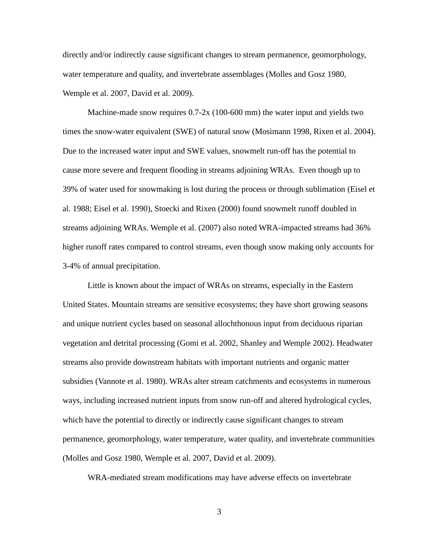directly and/or indirectly cause significant changes to stream permanence, geomorphology, water temperature and quality, and invertebrate assemblages (Molles and Gosz 1980, Wemple et al. 2007, David et al. 2009).

Machine-made snow requires  $0.7-2x$  (100-600 mm) the water input and yields two times the snow-water equivalent (SWE) of natural snow (Mosimann 1998, Rixen et al. 2004). Due to the increased water input and SWE values, snowmelt run-off has the potential to cause more severe and frequent flooding in streams adjoining WRAs. Even though up to 39% of water used for snowmaking is lost during the process or through sublimation (Eisel et al. 1988; Eisel et al. 1990), Stoecki and Rixen (2000) found snowmelt runoff doubled in streams adjoining WRAs. Wemple et al. (2007) also noted WRA-impacted streams had 36% higher runoff rates compared to control streams, even though snow making only accounts for 3-4% of annual precipitation.

Little is known about the impact of WRAs on streams, especially in the Eastern United States. Mountain streams are sensitive ecosystems; they have short growing seasons and unique nutrient cycles based on seasonal allochthonous input from deciduous riparian vegetation and detrital processing (Gomi et al. 2002, Shanley and Wemple 2002). Headwater streams also provide downstream habitats with important nutrients and organic matter subsidies (Vannote et al. 1980). WRAs alter stream catchments and ecosystems in numerous ways, including increased nutrient inputs from snow run-off and altered hydrological cycles, which have the potential to directly or indirectly cause significant changes to stream permanence, geomorphology, water temperature, water quality, and invertebrate communities (Molles and Gosz 1980, Wemple et al. 2007, David et al. 2009).

WRA-mediated stream modifications may have adverse effects on invertebrate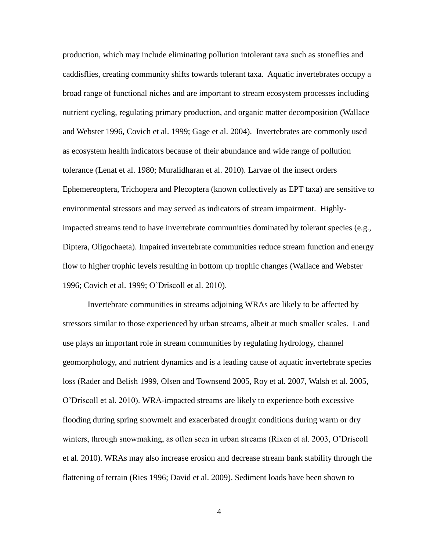production, which may include eliminating pollution intolerant taxa such as stoneflies and caddisflies, creating community shifts towards tolerant taxa. Aquatic invertebrates occupy a broad range of functional niches and are important to stream ecosystem processes including nutrient cycling, regulating primary production, and organic matter decomposition (Wallace and Webster 1996, Covich et al. 1999; Gage et al. 2004). Invertebrates are commonly used as ecosystem health indicators because of their abundance and wide range of pollution tolerance (Lenat et al. 1980; Muralidharan et al. 2010). Larvae of the insect orders Ephemereoptera, Trichopera and Plecoptera (known collectively as EPT taxa) are sensitive to environmental stressors and may served as indicators of stream impairment. Highlyimpacted streams tend to have invertebrate communities dominated by tolerant species (e.g., Diptera, Oligochaeta). Impaired invertebrate communities reduce stream function and energy flow to higher trophic levels resulting in bottom up trophic changes (Wallace and Webster 1996; Covich et al. 1999; O'Driscoll et al. 2010).

Invertebrate communities in streams adjoining WRAs are likely to be affected by stressors similar to those experienced by urban streams, albeit at much smaller scales. Land use plays an important role in stream communities by regulating hydrology, channel geomorphology, and nutrient dynamics and is a leading cause of aquatic invertebrate species loss (Rader and Belish 1999, Olsen and Townsend 2005, Roy et al. 2007, Walsh et al. 2005, O'Driscoll et al. 2010). WRA-impacted streams are likely to experience both excessive flooding during spring snowmelt and exacerbated drought conditions during warm or dry winters, through snowmaking, as often seen in urban streams (Rixen et al. 2003, O'Driscoll et al. 2010). WRAs may also increase erosion and decrease stream bank stability through the flattening of terrain (Ries 1996; David et al. 2009). Sediment loads have been shown to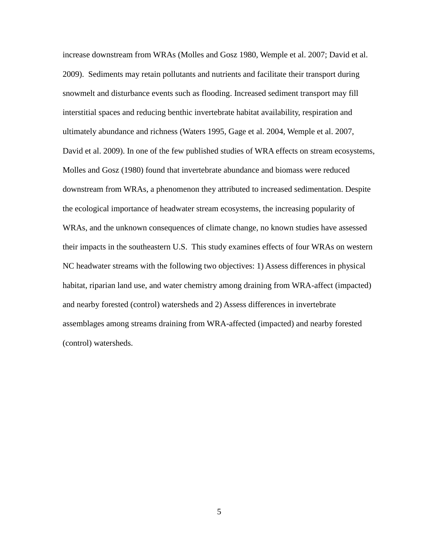increase downstream from WRAs (Molles and Gosz 1980, Wemple et al. 2007; David et al. 2009). Sediments may retain pollutants and nutrients and facilitate their transport during snowmelt and disturbance events such as flooding. Increased sediment transport may fill interstitial spaces and reducing benthic invertebrate habitat availability, respiration and ultimately abundance and richness (Waters 1995, Gage et al. 2004, Wemple et al. 2007, David et al. 2009). In one of the few published studies of WRA effects on stream ecosystems, Molles and Gosz (1980) found that invertebrate abundance and biomass were reduced downstream from WRAs, a phenomenon they attributed to increased sedimentation. Despite the ecological importance of headwater stream ecosystems, the increasing popularity of WRAs, and the unknown consequences of climate change, no known studies have assessed their impacts in the southeastern U.S. This study examines effects of four WRAs on western NC headwater streams with the following two objectives: 1) Assess differences in physical habitat, riparian land use, and water chemistry among draining from WRA-affect (impacted) and nearby forested (control) watersheds and 2) Assess differences in invertebrate assemblages among streams draining from WRA-affected (impacted) and nearby forested (control) watersheds.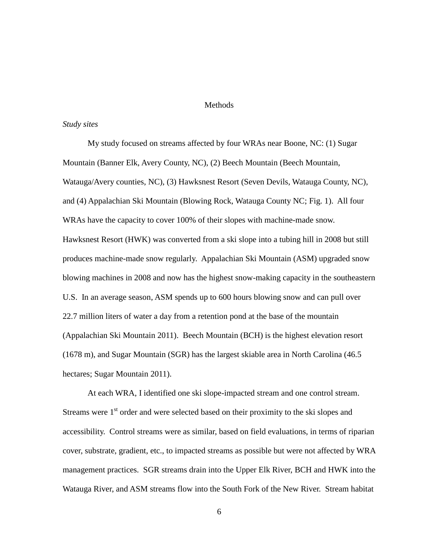#### **Methods**

#### *Study sites*

My study focused on streams affected by four WRAs near Boone, NC: (1) Sugar Mountain (Banner Elk, Avery County, NC), (2) Beech Mountain (Beech Mountain, Watauga/Avery counties, NC), (3) Hawksnest Resort (Seven Devils, Watauga County, NC), and (4) Appalachian Ski Mountain (Blowing Rock, Watauga County NC; Fig. 1). All four WRAs have the capacity to cover 100% of their slopes with machine-made snow. Hawksnest Resort (HWK) was converted from a ski slope into a tubing hill in 2008 but still produces machine-made snow regularly. Appalachian Ski Mountain (ASM) upgraded snow blowing machines in 2008 and now has the highest snow-making capacity in the southeastern U.S. In an average season, ASM spends up to 600 hours blowing snow and can pull over 22.7 million liters of water a day from a retention pond at the base of the mountain (Appalachian Ski Mountain 2011). Beech Mountain (BCH) is the highest elevation resort (1678 m), and Sugar Mountain (SGR) has the largest skiable area in North Carolina (46.5 hectares; Sugar Mountain 2011).

At each WRA, I identified one ski slope-impacted stream and one control stream. Streams were  $1<sup>st</sup>$  order and were selected based on their proximity to the ski slopes and accessibility. Control streams were as similar, based on field evaluations, in terms of riparian cover, substrate, gradient, etc., to impacted streams as possible but were not affected by WRA management practices. SGR streams drain into the Upper Elk River, BCH and HWK into the Watauga River, and ASM streams flow into the South Fork of the New River. Stream habitat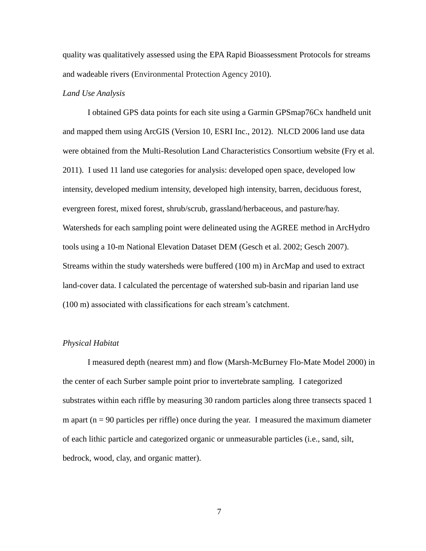quality was qualitatively assessed using the EPA Rapid Bioassessment Protocols for streams and wadeable rivers (Environmental Protection Agency 2010).

#### *Land Use Analysis*

I obtained GPS data points for each site using a Garmin GPSmap76Cx handheld unit and mapped them using ArcGIS (Version 10, ESRI Inc., 2012). NLCD 2006 land use data were obtained from the Multi-Resolution Land Characteristics Consortium website (Fry et al. 2011). I used 11 land use categories for analysis: developed open space, developed low intensity, developed medium intensity, developed high intensity, barren, deciduous forest, evergreen forest, mixed forest, shrub/scrub, grassland/herbaceous, and pasture/hay. Watersheds for each sampling point were delineated using the AGREE method in ArcHydro tools using a 10-m National Elevation Dataset DEM (Gesch et al. 2002; Gesch 2007). Streams within the study watersheds were buffered (100 m) in ArcMap and used to extract land-cover data. I calculated the percentage of watershed sub-basin and riparian land use (100 m) associated with classifications for each stream's catchment.

#### *Physical Habitat*

I measured depth (nearest mm) and flow (Marsh-McBurney Flo-Mate Model 2000) in the center of each Surber sample point prior to invertebrate sampling. I categorized substrates within each riffle by measuring 30 random particles along three transects spaced 1 m apart ( $n = 90$  particles per riffle) once during the year. I measured the maximum diameter of each lithic particle and categorized organic or unmeasurable particles (i.e., sand, silt, bedrock, wood, clay, and organic matter).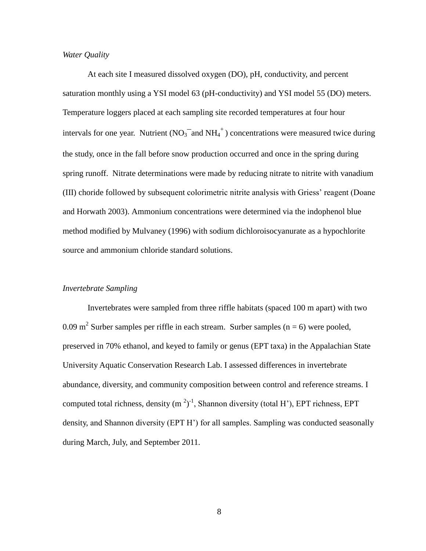#### *Water Quality*

At each site I measured dissolved oxygen (DO), pH, conductivity, and percent saturation monthly using a YSI model 63 (pH-conductivity) and YSI model 55 (DO) meters. Temperature loggers placed at each sampling site recorded temperatures at four hour intervals for one year. Nutrient ( $NO_3^-$  and  $NH_4^+$ ) concentrations were measured twice during the study, once in the fall before snow production occurred and once in the spring during spring runoff. Nitrate determinations were made by reducing nitrate to nitrite with vanadium (III) choride followed by subsequent colorimetric nitrite analysis with Griess' reagent (Doane and Horwath 2003). Ammonium concentrations were determined via the indophenol blue method modified by Mulvaney (1996) with sodium dichloroisocyanurate as a hypochlorite source and ammonium chloride standard solutions.

#### *Invertebrate Sampling*

Invertebrates were sampled from three riffle habitats (spaced 100 m apart) with two 0.09 m<sup>2</sup> Surber samples per riffle in each stream. Surber samples (n = 6) were pooled, preserved in 70% ethanol, and keyed to family or genus (EPT taxa) in the Appalachian State University Aquatic Conservation Research Lab. I assessed differences in invertebrate abundance, diversity, and community composition between control and reference streams. I computed total richness, density  $(m^2)^{-1}$ , Shannon diversity (total H'), EPT richness, EPT density, and Shannon diversity (EPT H') for all samples. Sampling was conducted seasonally during March, July, and September 2011.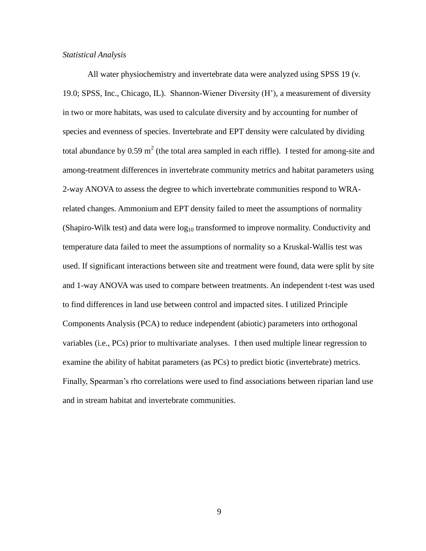#### *Statistical Analysis*

All water physiochemistry and invertebrate data were analyzed using SPSS 19 (v. 19.0; SPSS, Inc., Chicago, IL). Shannon-Wiener Diversity (H'), a measurement of diversity in two or more habitats, was used to calculate diversity and by accounting for number of species and evenness of species. Invertebrate and EPT density were calculated by dividing total abundance by 0.59 m<sup>2</sup> (the total area sampled in each riffle). I tested for among-site and among-treatment differences in invertebrate community metrics and habitat parameters using 2-way ANOVA to assess the degree to which invertebrate communities respond to WRArelated changes. Ammonium and EPT density failed to meet the assumptions of normality (Shapiro-Wilk test) and data were  $log_{10}$  transformed to improve normality. Conductivity and temperature data failed to meet the assumptions of normality so a Kruskal-Wallis test was used. If significant interactions between site and treatment were found, data were split by site and 1-way ANOVA was used to compare between treatments. An independent t-test was used to find differences in land use between control and impacted sites. I utilized Principle Components Analysis (PCA) to reduce independent (abiotic) parameters into orthogonal variables (i.e., PCs) prior to multivariate analyses. I then used multiple linear regression to examine the ability of habitat parameters (as PCs) to predict biotic (invertebrate) metrics. Finally, Spearman's rho correlations were used to find associations between riparian land use and in stream habitat and invertebrate communities.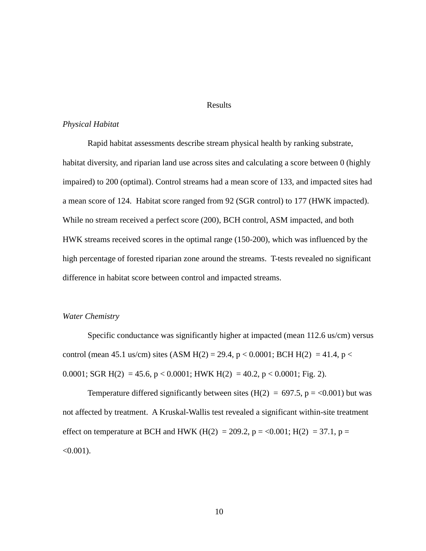#### Results

#### *Physical Habitat*

Rapid habitat assessments describe stream physical health by ranking substrate, habitat diversity, and riparian land use across sites and calculating a score between 0 (highly impaired) to 200 (optimal). Control streams had a mean score of 133, and impacted sites had a mean score of 124. Habitat score ranged from 92 (SGR control) to 177 (HWK impacted). While no stream received a perfect score (200), BCH control, ASM impacted, and both HWK streams received scores in the optimal range (150-200), which was influenced by the high percentage of forested riparian zone around the streams. T-tests revealed no significant difference in habitat score between control and impacted streams.

#### *Water Chemistry*

Specific conductance was significantly higher at impacted (mean 112.6 us/cm) versus control (mean 45.1 us/cm) sites (ASM H(2) = 29.4, p < 0.0001; BCH H(2) = 41.4, p < 0.0001; SGR H(2) = 45.6, p < 0.0001; HWK H(2) = 40.2, p < 0.0001; Fig. 2).

Temperature differed significantly between sites ( $H(2) = 697.5$ ,  $p = <0.001$ ) but was not affected by treatment. A Kruskal-Wallis test revealed a significant within-site treatment effect on temperature at BCH and HWK (H(2) = 209.2, p = <0.001; H(2) = 37.1, p =  $< 0.001$ ).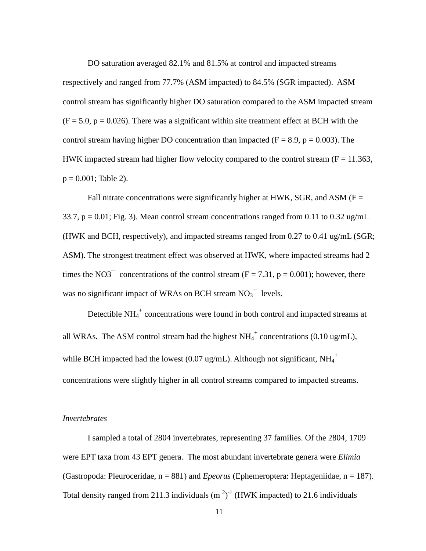DO saturation averaged 82.1% and 81.5% at control and impacted streams respectively and ranged from 77.7% (ASM impacted) to 84.5% (SGR impacted). ASM control stream has significantly higher DO saturation compared to the ASM impacted stream  $(F = 5.0, p = 0.026)$ . There was a significant within site treatment effect at BCH with the control stream having higher DO concentration than impacted ( $F = 8.9$ ,  $p = 0.003$ ). The HWK impacted stream had higher flow velocity compared to the control stream  $(F = 11.363,$  $p = 0.001$ ; Table 2).

Fall nitrate concentrations were significantly higher at HWK, SGR, and ASM ( $F =$ 33.7,  $p = 0.01$ ; Fig. 3). Mean control stream concentrations ranged from 0.11 to 0.32 ug/mL (HWK and BCH, respectively), and impacted streams ranged from 0.27 to 0.41 ug/mL (SGR; ASM). The strongest treatment effect was observed at HWK, where impacted streams had 2 times the NO3<sup> $-$ </sup> concentrations of the control stream (F = 7.31, p = 0.001); however, there was no significant impact of WRAs on BCH stream  $NO<sub>3</sub><sup>-</sup>$  levels.

Detectible  $NH_4^+$  concentrations were found in both control and impacted streams at all WRAs. The ASM control stream had the highest  $NH_4^+$  concentrations (0.10 ug/mL), while BCH impacted had the lowest (0.07 ug/mL). Although not significant,  $NH_4^+$ concentrations were slightly higher in all control streams compared to impacted streams.

#### *Invertebrates*

I sampled a total of 2804 invertebrates, representing 37 families. Of the 2804, 1709 were EPT taxa from 43 EPT genera. The most abundant invertebrate genera were *Elimia* (Gastropoda: Pleuroceridae, n = 881) and *Epeorus* (Ephemeroptera: Heptageniidae, n = 187). Total density ranged from 211.3 individuals  $(m^2)^{-1}$  (HWK impacted) to 21.6 individuals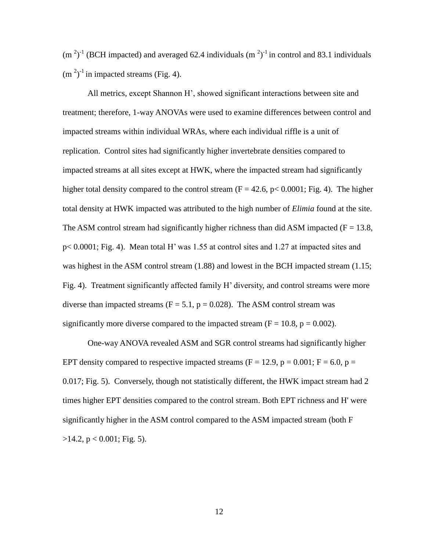$(m<sup>2</sup>)<sup>-1</sup>$  (BCH impacted) and averaged 62.4 individuals  $(m<sup>2</sup>)<sup>-1</sup>$  in control and 83.1 individuals  $(m<sup>2</sup>)<sup>-1</sup>$  in impacted streams (Fig. 4).

All metrics, except Shannon H', showed significant interactions between site and treatment; therefore, 1-way ANOVAs were used to examine differences between control and impacted streams within individual WRAs, where each individual riffle is a unit of replication. Control sites had significantly higher invertebrate densities compared to impacted streams at all sites except at HWK, where the impacted stream had significantly higher total density compared to the control stream  $(F = 42.6, p < 0.0001; Fig. 4)$ . The higher total density at HWK impacted was attributed to the high number of *Elimia* found at the site. The ASM control stream had significantly higher richness than did ASM impacted ( $F = 13.8$ , p< 0.0001; Fig. 4). Mean total H' was 1.55 at control sites and 1.27 at impacted sites and was highest in the ASM control stream (1.88) and lowest in the BCH impacted stream (1.15; Fig. 4). Treatment significantly affected family H' diversity, and control streams were more diverse than impacted streams ( $F = 5.1$ ,  $p = 0.028$ ). The ASM control stream was significantly more diverse compared to the impacted stream ( $F = 10.8$ ,  $p = 0.002$ ).

One-way ANOVA revealed ASM and SGR control streams had significantly higher EPT density compared to respective impacted streams ( $F = 12.9$ ,  $p = 0.001$ ;  $F = 6.0$ ,  $p =$ 0.017; Fig. 5). Conversely, though not statistically different, the HWK impact stream had 2 times higher EPT densities compared to the control stream. Both EPT richness and H' were significantly higher in the ASM control compared to the ASM impacted stream (both F  $>14.2$ , p < 0.001; Fig. 5).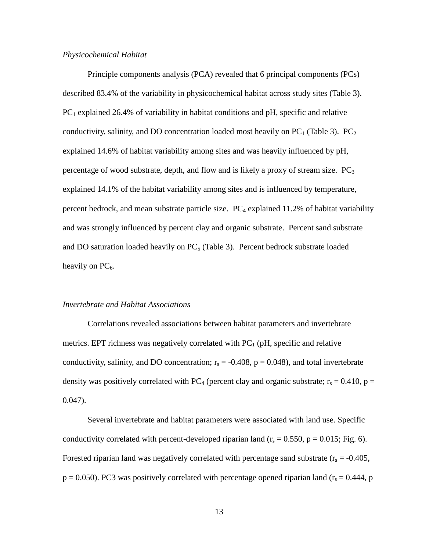#### *Physicochemical Habitat*

Principle components analysis (PCA) revealed that 6 principal components (PCs) described 83.4% of the variability in physicochemical habitat across study sites (Table 3).  $PC<sub>1</sub>$  explained 26.4% of variability in habitat conditions and pH, specific and relative conductivity, salinity, and DO concentration loaded most heavily on  $PC_1$  (Table 3).  $PC_2$ explained 14.6% of habitat variability among sites and was heavily influenced by pH, percentage of wood substrate, depth, and flow and is likely a proxy of stream size.  $PC<sub>3</sub>$ explained 14.1% of the habitat variability among sites and is influenced by temperature, percent bedrock, and mean substrate particle size.  $PC_4$  explained 11.2% of habitat variability and was strongly influenced by percent clay and organic substrate. Percent sand substrate and DO saturation loaded heavily on  $PC_5$  (Table 3). Percent bedrock substrate loaded heavily on  $PC_6$ .

#### *Invertebrate and Habitat Associations*

Correlations revealed associations between habitat parameters and invertebrate metrics. EPT richness was negatively correlated with  $PC_1$  (pH, specific and relative conductivity, salinity, and DO concentration;  $r_s = -0.408$ ,  $p = 0.048$ ), and total invertebrate density was positively correlated with PC<sub>4</sub> (percent clay and organic substrate;  $r_s = 0.410$ , p = 0.047).

Several invertebrate and habitat parameters were associated with land use. Specific conductivity correlated with percent-developed riparian land ( $r_s = 0.550$ ,  $p = 0.015$ ; Fig. 6). Forested riparian land was negatively correlated with percentage sand substrate  $(r_s = -0.405$ ,  $p = 0.050$ ). PC3 was positively correlated with percentage opened riparian land ( $r_s = 0.444$ , p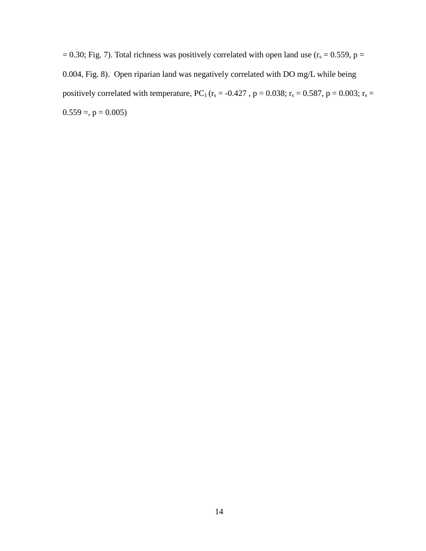= 0.30; Fig. 7). Total richness was positively correlated with open land use ( $r_s$  = 0.559, p = 0.004, Fig. 8). Open riparian land was negatively correlated with DO mg/L while being positively correlated with temperature, PC<sub>1</sub> ( $r_s = -0.427$ , p = 0.038;  $r_s = 0.587$ , p = 0.003;  $r_s =$  $0.559 =$ ,  $p = 0.005$ )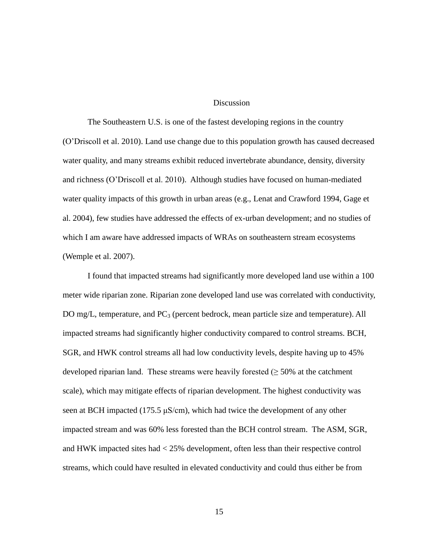#### Discussion

The Southeastern U.S. is one of the fastest developing regions in the country (O'Driscoll et al. 2010). Land use change due to this population growth has caused decreased water quality, and many streams exhibit reduced invertebrate abundance, density, diversity and richness (O'Driscoll et al. 2010). Although studies have focused on human-mediated water quality impacts of this growth in urban areas (e.g., Lenat and Crawford 1994, Gage et al. 2004), few studies have addressed the effects of ex-urban development; and no studies of which I am aware have addressed impacts of WRAs on southeastern stream ecosystems (Wemple et al. 2007).

I found that impacted streams had significantly more developed land use within a 100 meter wide riparian zone. Riparian zone developed land use was correlated with conductivity, DO mg/L, temperature, and  $PC_3$  (percent bedrock, mean particle size and temperature). All impacted streams had significantly higher conductivity compared to control streams. BCH, SGR, and HWK control streams all had low conductivity levels, despite having up to 45% developed riparian land. These streams were heavily forested  $(≥ 50%$  at the catchment scale), which may mitigate effects of riparian development. The highest conductivity was seen at BCH impacted (175.5  $\mu$ S/cm), which had twice the development of any other impacted stream and was 60% less forested than the BCH control stream. The ASM, SGR, and HWK impacted sites had < 25% development, often less than their respective control streams, which could have resulted in elevated conductivity and could thus either be from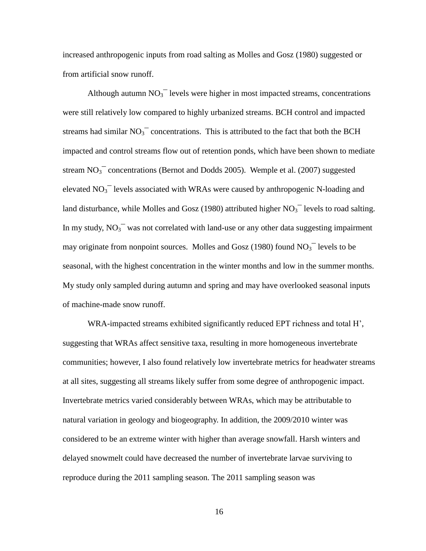increased anthropogenic inputs from road salting as Molles and Gosz (1980) suggested or from artificial snow runoff.

Although autumn  $NO<sub>3</sub><sup>-</sup>$  levels were higher in most impacted streams, concentrations were still relatively low compared to highly urbanized streams. BCH control and impacted streams had similar  $NO<sub>3</sub><sup>-</sup>$  concentrations. This is attributed to the fact that both the BCH impacted and control streams flow out of retention ponds, which have been shown to mediate stream  $NO<sub>3</sub><sup>-</sup>$  concentrations (Bernot and Dodds 2005). Wemple et al. (2007) suggested elevated  $NO<sub>3</sub><sup>-</sup>$  levels associated with WRAs were caused by anthropogenic N-loading and land disturbance, while Molles and Gosz (1980) attributed higher  $NO<sub>3</sub><sup>-</sup>$  levels to road salting. In my study,  $NO<sub>3</sub><sup>-</sup>$  was not correlated with land-use or any other data suggesting impairment may originate from nonpoint sources. Molles and Gosz (1980) found  $NO<sub>3</sub>^-$  levels to be seasonal, with the highest concentration in the winter months and low in the summer months. My study only sampled during autumn and spring and may have overlooked seasonal inputs of machine-made snow runoff.

WRA-impacted streams exhibited significantly reduced EPT richness and total H', suggesting that WRAs affect sensitive taxa, resulting in more homogeneous invertebrate communities; however, I also found relatively low invertebrate metrics for headwater streams at all sites, suggesting all streams likely suffer from some degree of anthropogenic impact. Invertebrate metrics varied considerably between WRAs, which may be attributable to natural variation in geology and biogeography. In addition, the 2009/2010 winter was considered to be an extreme winter with higher than average snowfall. Harsh winters and delayed snowmelt could have decreased the number of invertebrate larvae surviving to reproduce during the 2011 sampling season. The 2011 sampling season was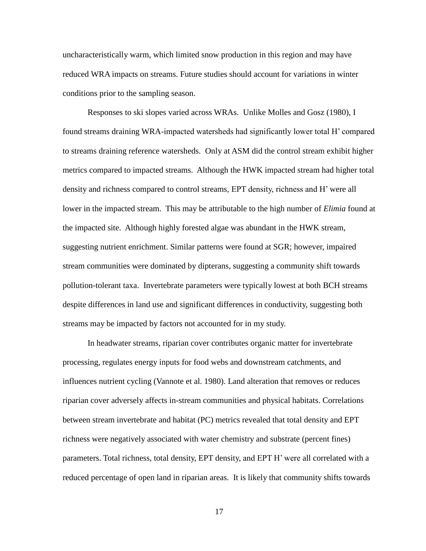uncharacteristically warm, which limited snow production in this region and may have reduced WRA impacts on streams. Future studies should account for variations in winter conditions prior to the sampling season.

Responses to ski slopes varied across WRAs. Unlike Molles and Gosz (1980), I found streams draining WRA-impacted watersheds had significantly lower total H' compared to streams draining reference watersheds. Only at ASM did the control stream exhibit higher metrics compared to impacted streams. Although the HWK impacted stream had higher total density and richness compared to control streams, EPT density, richness and H' were all lower in the impacted stream. This may be attributable to the high number of *Elimia* found at the impacted site. Although highly forested algae was abundant in the HWK stream, suggesting nutrient enrichment. Similar patterns were found at SGR; however, impaired stream communities were dominated by dipterans, suggesting a community shift towards pollution-tolerant taxa. Invertebrate parameters were typically lowest at both BCH streams despite differences in land use and significant differences in conductivity, suggesting both streams may be impacted by factors not accounted for in my study.

In headwater streams, riparian cover contributes organic matter for invertebrate processing, regulates energy inputs for food webs and downstream catchments, and influences nutrient cycling (Vannote et al. 1980). Land alteration that removes or reduces riparian cover adversely affects in-stream communities and physical habitats. Correlations between stream invertebrate and habitat (PC) metrics revealed that total density and EPT richness were negatively associated with water chemistry and substrate (percent fines) parameters. Total richness, total density, EPT density, and EPT H' were all correlated with a reduced percentage of open land in riparian areas. It is likely that community shifts towards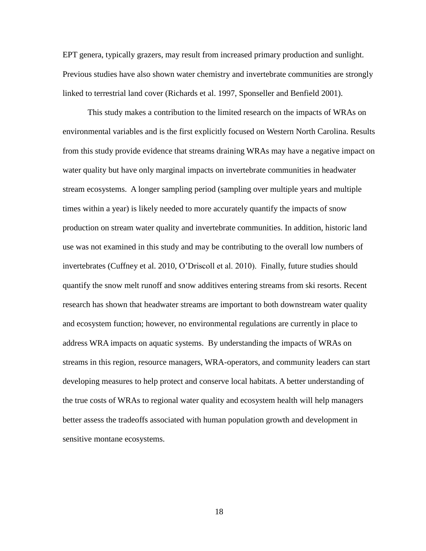EPT genera, typically grazers, may result from increased primary production and sunlight. Previous studies have also shown water chemistry and invertebrate communities are strongly linked to terrestrial land cover (Richards et al. 1997, Sponseller and Benfield 2001).

This study makes a contribution to the limited research on the impacts of WRAs on environmental variables and is the first explicitly focused on Western North Carolina. Results from this study provide evidence that streams draining WRAs may have a negative impact on water quality but have only marginal impacts on invertebrate communities in headwater stream ecosystems. A longer sampling period (sampling over multiple years and multiple times within a year) is likely needed to more accurately quantify the impacts of snow production on stream water quality and invertebrate communities. In addition, historic land use was not examined in this study and may be contributing to the overall low numbers of invertebrates (Cuffney et al. 2010, O'Driscoll et al. 2010). Finally, future studies should quantify the snow melt runoff and snow additives entering streams from ski resorts. Recent research has shown that headwater streams are important to both downstream water quality and ecosystem function; however, no environmental regulations are currently in place to address WRA impacts on aquatic systems. By understanding the impacts of WRAs on streams in this region, resource managers, WRA-operators, and community leaders can start developing measures to help protect and conserve local habitats. A better understanding of the true costs of WRAs to regional water quality and ecosystem health will help managers better assess the tradeoffs associated with human population growth and development in sensitive montane ecosystems.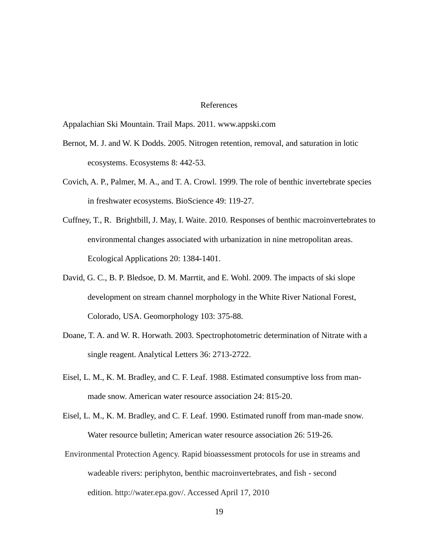#### References

Appalachian Ski Mountain. Trail Maps. 2011. www.appski.com

- Bernot, M. J. and W. K Dodds. 2005. Nitrogen retention, removal, and saturation in lotic ecosystems. Ecosystems 8: 442-53.
- Covich, A. P., Palmer, M. A., and T. A. Crowl. 1999. The role of benthic invertebrate species in freshwater ecosystems. BioScience 49: 119-27.
- Cuffney, T., R. Brightbill, J. May, I. Waite. 2010. Responses of benthic macroinvertebrates to environmental changes associated with urbanization in nine metropolitan areas. Ecological Applications 20: 1384-1401.
- David, G. C., B. P. Bledsoe, D. M. Marrtit, and E. Wohl. 2009. The impacts of ski slope development on stream channel morphology in the White River National Forest, Colorado, USA. Geomorphology 103: 375-88.
- Doane, T. A. and W. R. Horwath. 2003. Spectrophotometric determination of Nitrate with a single reagent. Analytical Letters 36: 2713-2722.
- Eisel, L. M., K. M. Bradley, and C. F. Leaf. 1988. Estimated consumptive loss from manmade snow. American water resource association 24: 815-20.
- Eisel, L. M., K. M. Bradley, and C. F. Leaf. 1990. Estimated runoff from man-made snow. Water resource bulletin; American water resource association 26: 519-26.
- Environmental Protection Agency. Rapid bioassessment protocols for use in streams and wadeable rivers: periphyton, benthic macroinvertebrates, and fish - second edition. http://water.epa.gov/. Accessed April 17, 2010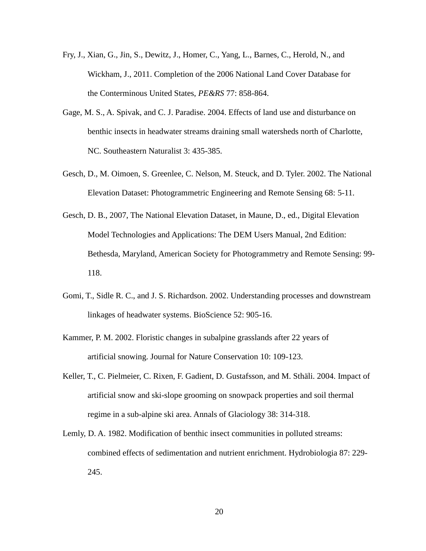- Fry, J., Xian, G., Jin, S., Dewitz, J., Homer, C., Yang, L., Barnes, C., Herold, N., and Wickham, J., 2011. Completion of the 2006 National Land Cover Database for the Conterminous United States, *PE&RS* 77: 858-864.
- Gage, M. S., A. Spivak, and C. J. Paradise. 2004. Effects of land use and disturbance on benthic insects in headwater streams draining small watersheds north of Charlotte, NC. Southeastern Naturalist 3: 435-385.
- Gesch, D., M. Oimoen, S. Greenlee, C. Nelson, M. Steuck, and D. Tyler. 2002. The National Elevation Dataset: Photogrammetric Engineering and Remote Sensing 68: 5-11.
- Gesch, D. B., 2007, The National Elevation Dataset, in Maune, D., ed., Digital Elevation Model Technologies and Applications: The DEM Users Manual, 2nd Edition: Bethesda, Maryland, American Society for Photogrammetry and Remote Sensing: 99- 118.
- Gomi, T., Sidle R. C., and J. S. Richardson. 2002. Understanding processes and downstream linkages of headwater systems. BioScience 52: 905-16.
- Kammer, P. M. 2002. Floristic changes in subalpine grasslands after 22 years of artificial snowing. Journal for Nature Conservation 10: 109-123.
- Keller, T., C. Pielmeier, C. Rixen, F. Gadient, D. Gustafsson, and M. Sthäli. 2004. Impact of artificial snow and ski-slope grooming on snowpack properties and soil thermal regime in a sub-alpine ski area. Annals of Glaciology 38: 314-318.
- Lemly, D. A. 1982. [Modification of benthic insect communities in polluted streams:](http://www.springerlink.com/content/d67763n148586k61/)  [combined effects of sedimentation and nutrient enrichment.](http://www.springerlink.com/content/d67763n148586k61/) Hydrobiologia 87: 229- 245.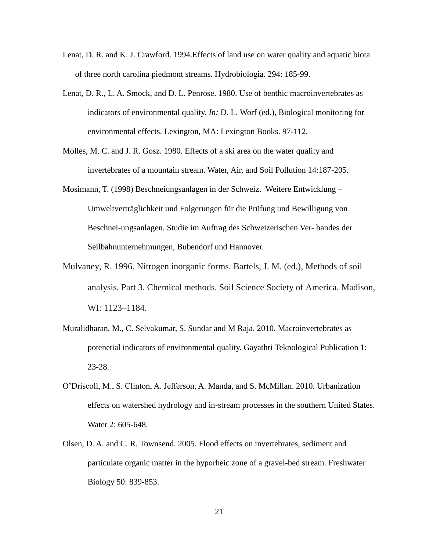- Lenat, D. R. and K. J. Crawford. 1994.Effects of land use on water quality and aquatic biota of three north carolina piedmont streams. Hydrobiologia. 294: 185-99.
- Lenat, D. R., L. A. Smock, and D. L. Penrose. 1980. Use of benthic macroinvertebrates as indicators of environmental quality. *In:* D. L. Worf (ed.), Biological monitoring for environmental effects. Lexington, MA: Lexington Books. 97-112.
- Molles, M. C. and J. R. Gosz. 1980. Effects of a ski area on the water quality and invertebrates of a mountain stream. Water, Air, and Soil Pollution 14:187-205.
- Mosimann, T. (1998) Beschneiungsanlagen in der Schweiz. Weitere Entwicklung Umweltverträglichkeit und Folgerungen für die Prüfung und Bewilligung von Beschnei-ungsanlagen. Studie im Auftrag des Schweizerischen Ver- bandes der Seilbahnunternehmungen, Bubendorf und Hannover.
- Mulvaney, R. 1996. Nitrogen inorganic forms. Bartels, J. M. (ed.), Methods of soil analysis. Part 3. Chemical methods. Soil Science Society of America. Madison, WI: 1123–1184.
- Muralidharan, M., C. Selvakumar, S. Sundar and M Raja. 2010. Macroinvertebrates as potenetial indicators of environmental quality. Gayathri Teknological Publication 1: 23-28.
- O'Driscoll, M., S. Clinton, A. Jefferson, A. Manda, and S. McMillan. 2010. Urbanization effects on watershed hydrology and in-stream processes in the southern United States. Water 2: 605-648.
- Olsen, D. A. and C. R. Townsend. 2005. Flood effects on invertebrates, sediment and particulate organic matter in the hyporheic zone of a gravel-bed stream. Freshwater Biology 50: 839-853.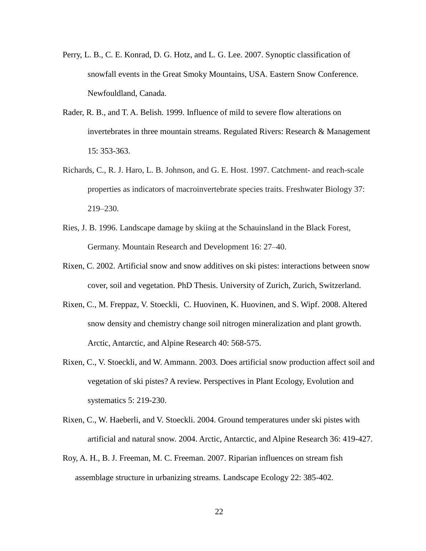- Perry, L. B., C. E. Konrad, D. G. Hotz, and L. G. Lee. 2007. Synoptic classification of snowfall events in the Great Smoky Mountains, USA. Eastern Snow Conference. Newfouldland, Canada.
- Rader, R. B., and T. A. Belish. 1999. Influence of mild to severe flow alterations on invertebrates in three mountain streams. Regulated Rivers: Research & Management 15: 353-363.
- Richards, C., R. J. Haro, L. B. Johnson, and G. E. Host. 1997. Catchment- and reach-scale properties as indicators of macroinvertebrate species traits. Freshwater Biology 37: 219–230.
- Ries, J. B. 1996. Landscape damage by skiing at the Schauinsland in the Black Forest, Germany. Mountain Research and Development 16: 27–40.
- Rixen, C. 2002. Artificial snow and snow additives on ski pistes: interactions between snow cover, soil and vegetation. PhD Thesis. University of Zurich, Zurich, Switzerland.
- Rixen, C., M. Freppaz, V. Stoeckli, C. Huovinen, K. Huovinen, and S. Wipf. 2008. Altered snow density and chemistry change soil nitrogen mineralization and plant growth. Arctic, Antarctic, and Alpine Research 40: 568-575.
- Rixen, C., V. Stoeckli, and W. Ammann. 2003. Does artificial snow production affect soil and vegetation of ski pistes? A review. Perspectives in Plant Ecology, Evolution and systematics 5: 219-230.
- Rixen, C., W. Haeberli, and V. Stoeckli. 2004. Ground temperatures under ski pistes with artificial and natural snow. 2004. Arctic, Antarctic, and Alpine Research 36: 419-427.
- Roy, A. H., B. J. Freeman, M. C. Freeman. 2007. Riparian influences on stream fish assemblage structure in urbanizing streams. Landscape Ecology 22: 385-402.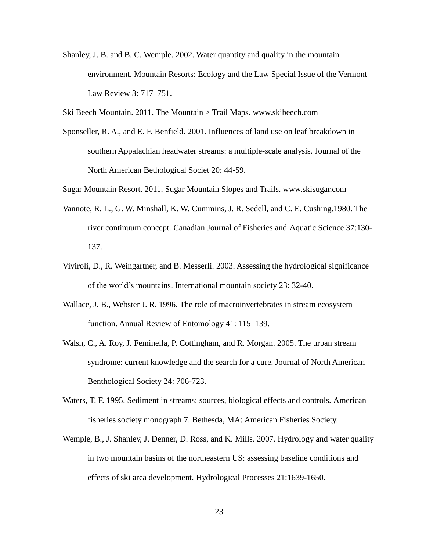Shanley, J. B. and B. C. Wemple. 2002. Water quantity and quality in the mountain environment. Mountain Resorts: Ecology and the Law Special Issue of the Vermont Law Review 3: 717–751.

Ski Beech Mountain. 2011. The Mountain > Trail Maps. www.skibeech.com

Sponseller, R. A., and E. F. Benfield. 2001. Influences of land use on leaf breakdown in southern Appalachian headwater streams: a multiple-scale analysis. Journal of the North American Bethological Societ 20: 44-59.

Sugar Mountain Resort. 2011. Sugar Mountain Slopes and Trails. www.skisugar.com

- Vannote, R. L., G. W. Minshall, K. W. Cummins, J. R. Sedell, and C. E. Cushing.1980. The river continuum concept. Canadian Journal of Fisheries and Aquatic Science 37:130- 137.
- Viviroli, D., R. Weingartner, and B. Messerli. 2003. Assessing the hydrological significance of the world's mountains. International mountain society 23: 32-40.
- Wallace, J. B., Webster J. R. 1996. The role of macroinvertebrates in stream ecosystem function. Annual Review of Entomology 41: 115–139.
- Walsh, C., A. Roy, J. Feminella, P. Cottingham, and R. Morgan. 2005. The urban stream syndrome: current knowledge and the search for a cure. Journal of North American Benthological Society 24: 706-723.
- Waters, T. F. 1995. Sediment in streams: sources, biological effects and controls*.* American fisheries society monograph 7. Bethesda, MA: American Fisheries Society.
- Wemple, B., J. Shanley, J. Denner, D. Ross, and K. Mills. 2007. Hydrology and water quality in two mountain basins of the northeastern US: assessing baseline conditions and effects of ski area development. Hydrological Processes 21:1639-1650.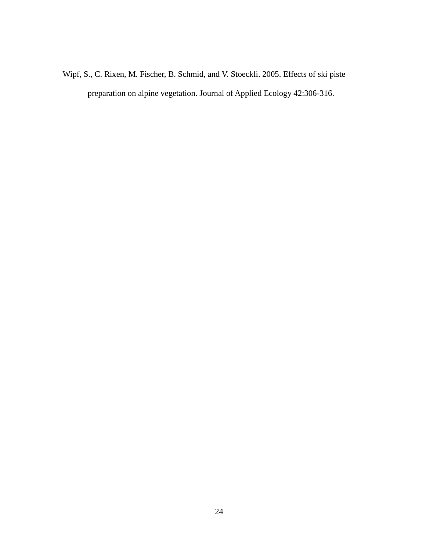Wipf, S., C. Rixen, M. Fischer, B. Schmid, and V. Stoeckli. 2005. Effects of ski piste preparation on alpine vegetation. Journal of Applied Ecology 42:306-316.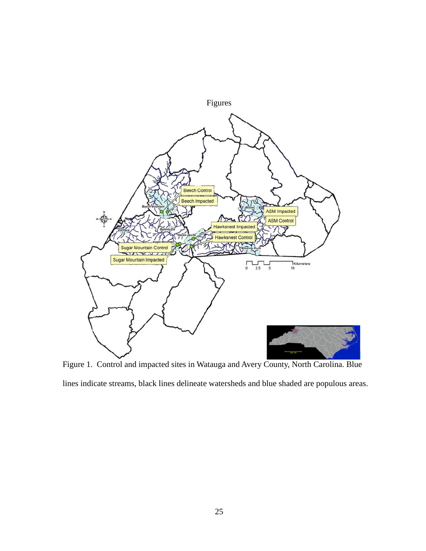

Figure 1. Control and impacted sites in Watauga and Avery County, North Carolina. Blue lines indicate streams, black lines delineate watersheds and blue shaded are populous areas.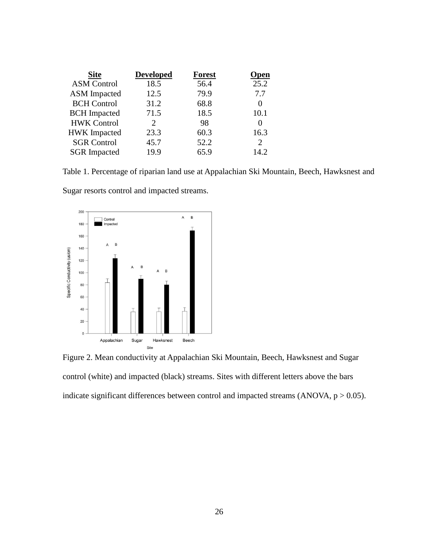| <b>Site</b>         | <b>Developed</b>            | <b>Forest</b> | <b>Open</b>    |
|---------------------|-----------------------------|---------------|----------------|
| <b>ASM Control</b>  | 18.5                        | 56.4          | 25.2           |
| <b>ASM</b> Impacted | 12.5                        | 79.9          | 7.7            |
| <b>BCH</b> Control  | 31.2                        | 68.8          | 0              |
| <b>BCH</b> Impacted | 71.5                        | 18.5          | 10.1           |
| <b>HWK Control</b>  | $\mathcal{D}_{\mathcal{L}}$ | 98            | 0              |
| <b>HWK</b> Impacted | 23.3                        | 60.3          | 16.3           |
| <b>SGR Control</b>  | 45.7                        | 52.2          | $\overline{2}$ |
| <b>SGR</b> Impacted | 19.9                        | 65.9          | 14.2           |

Table 1. Percentage of riparian land use at Appalachian Ski Mountain, Beech, Hawksnest and

Sugar resorts control and impacted streams.



Figure 2. Mean conductivity at Appalachian Ski Mountain, Beech, Hawksnest and Sugar control (white) and impacted (black) streams. Sites with different letters above the bars indicate significant differences between control and impacted streams (ANOVA,  $p > 0.05$ ).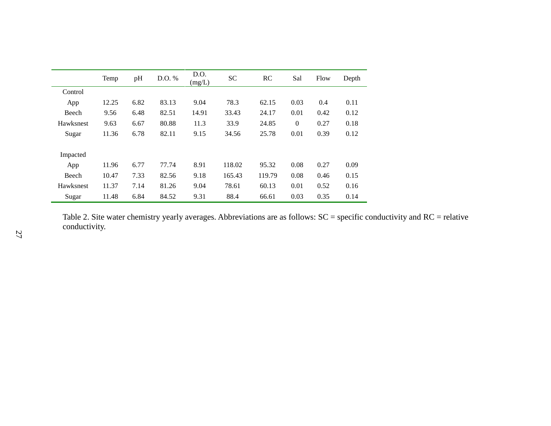|              | Temp  | pH   | D.O. % | D.O.<br>(mg/L) | <b>SC</b> | <b>RC</b> | Sal            | Flow | Depth |
|--------------|-------|------|--------|----------------|-----------|-----------|----------------|------|-------|
| Control      |       |      |        |                |           |           |                |      |       |
| App          | 12.25 | 6.82 | 83.13  | 9.04           | 78.3      | 62.15     | 0.03           | 0.4  | 0.11  |
| Beech        | 9.56  | 6.48 | 82.51  | 14.91          | 33.43     | 24.17     | 0.01           | 0.42 | 0.12  |
| Hawksnest    | 9.63  | 6.67 | 80.88  | 11.3           | 33.9      | 24.85     | $\overline{0}$ | 0.27 | 0.18  |
| Sugar        | 11.36 | 6.78 | 82.11  | 9.15           | 34.56     | 25.78     | 0.01           | 0.39 | 0.12  |
| Impacted     |       |      |        |                |           |           |                |      |       |
| App          | 11.96 | 6.77 | 77.74  | 8.91           | 118.02    | 95.32     | 0.08           | 0.27 | 0.09  |
| <b>Beech</b> | 10.47 | 7.33 | 82.56  | 9.18           | 165.43    | 119.79    | 0.08           | 0.46 | 0.15  |
| Hawksnest    | 11.37 | 7.14 | 81.26  | 9.04           | 78.61     | 60.13     | 0.01           | 0.52 | 0.16  |
| Sugar        | 11.48 | 6.84 | 84.52  | 9.31           | 88.4      | 66.61     | 0.03           | 0.35 | 0.14  |

Table 2. Site water chemistry yearly averages. Abbreviations are as follows: SC = specific conductivity and RC = relative conductivity.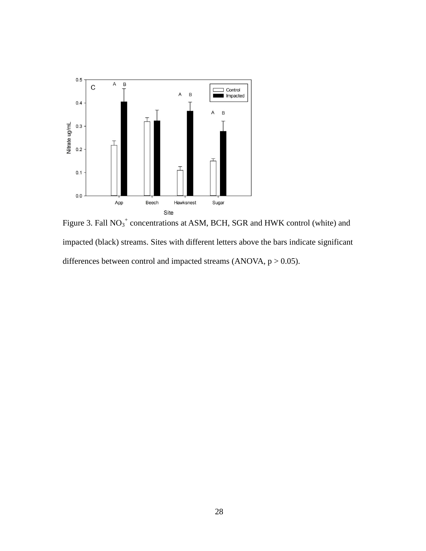

Figure 3. Fall  $NO<sub>3</sub><sup>+</sup>$  concentrations at ASM, BCH, SGR and HWK control (white) and impacted (black) streams. Sites with different letters above the bars indicate significant differences between control and impacted streams (ANOVA,  $p > 0.05$ ).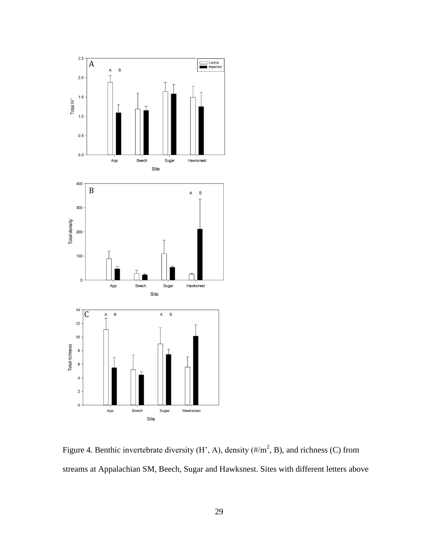

Figure 4. Benthic invertebrate diversity  $(H', A)$ , density  $(\frac{\#}{m^2}, B)$ , and richness (C) from streams at Appalachian SM, Beech, Sugar and Hawksnest. Sites with different letters above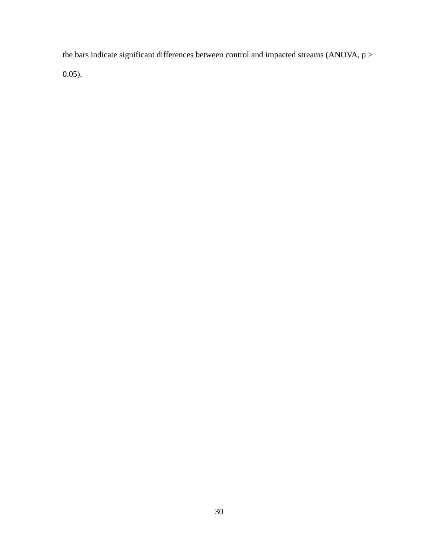the bars indicate significant differences between control and impacted streams (ANOVA,  $p$  > 0.05).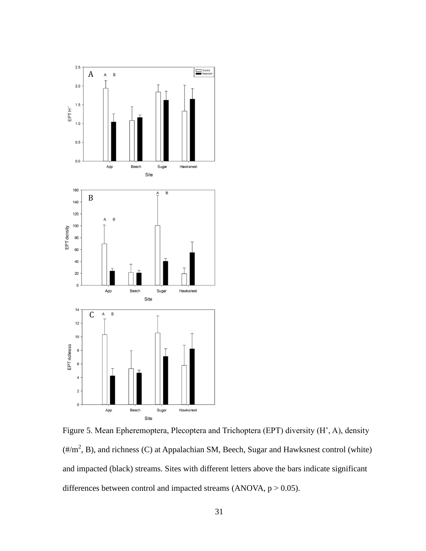

Figure 5. Mean Epheremoptera, Plecoptera and Trichoptera (EPT) diversity (H', A), density  $(\frac{\text{H/m}^2}{B})$ , and richness (C) at Appalachian SM, Beech, Sugar and Hawksnest control (white) and impacted (black) streams. Sites with different letters above the bars indicate significant differences between control and impacted streams (ANOVA,  $p > 0.05$ ).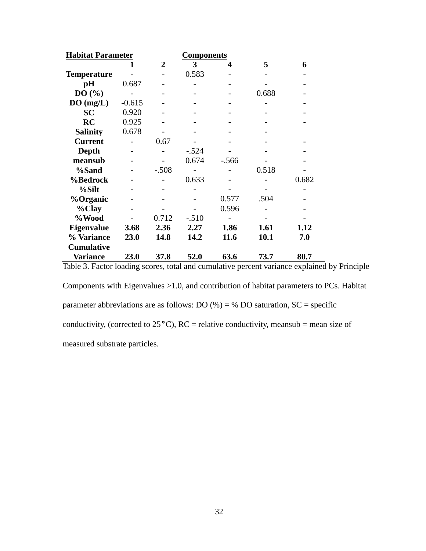| <b>Habitat Parameter</b> |          | <b>Components</b> |         |         |       |       |
|--------------------------|----------|-------------------|---------|---------|-------|-------|
|                          |          | $\mathbf 2$       | 3       | 4       | 5     | 6     |
| <b>Temperature</b>       |          |                   | 0.583   |         |       |       |
| pH                       | 0.687    |                   |         |         |       |       |
| DO(%)                    |          |                   |         |         | 0.688 |       |
| DO(mg/L)                 | $-0.615$ |                   |         |         |       |       |
| <b>SC</b>                | 0.920    |                   |         |         |       |       |
| RC                       | 0.925    |                   |         |         |       |       |
| <b>Salinity</b>          | 0.678    |                   |         |         |       |       |
| <b>Current</b>           |          | 0.67              |         |         |       |       |
| Depth                    |          |                   | $-.524$ |         |       |       |
| meansub                  |          |                   | 0.674   | $-.566$ |       |       |
| %Sand                    |          | $-.508$           |         |         | 0.518 |       |
| %Bedrock                 |          |                   | 0.633   |         |       | 0.682 |
| %Silt                    |          |                   |         |         |       |       |
| %Organic                 |          |                   |         | 0.577   | .504  |       |
| %Clay                    |          |                   |         | 0.596   |       |       |
| %Wood                    |          | 0.712             | $-.510$ |         |       |       |
| <b>Eigenvalue</b>        | 3.68     | 2.36              | 2.27    | 1.86    | 1.61  | 1.12  |
| % Variance               | 23.0     | 14.8              | 14.2    | 11.6    | 10.1  | 7.0   |
| <b>Cumulative</b>        |          |                   |         |         |       |       |
| <b>Variance</b>          | 23.0     | 37.8              | 52.0    | 63.6    | 73.7  | 80.7  |

Table 3. Factor loading scores, total and cumulative percent variance explained by Principle

Components with Eigenvalues >1.0, and contribution of habitat parameters to PCs. Habitat parameter abbreviations are as follows: DO  $%$  = % DO saturation, SC = specific conductivity, (corrected to 25**°**C), RC = relative conductivity, meansub = mean size of measured substrate particles.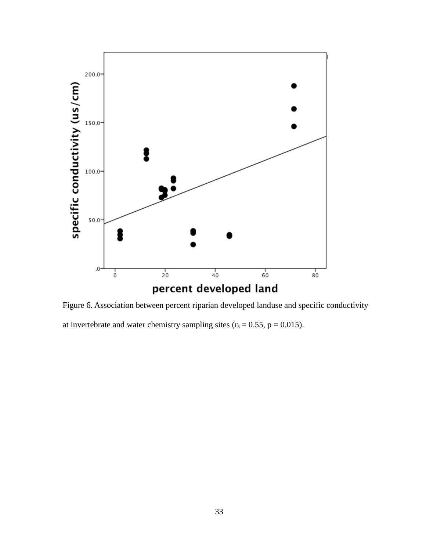

Figure 6. Association between percent riparian developed landuse and specific conductivity at invertebrate and water chemistry sampling sites  $(r_s = 0.55, p = 0.015)$ .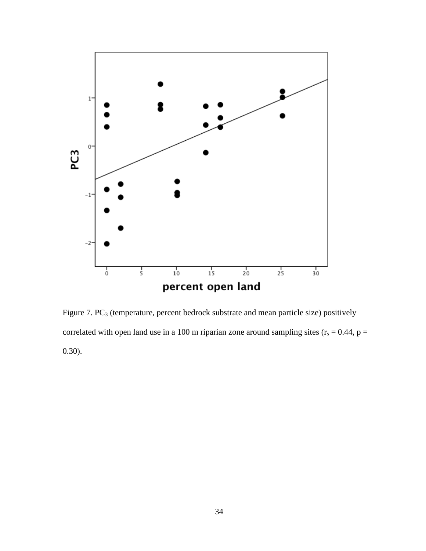

Figure 7. PC<sub>3</sub> (temperature, percent bedrock substrate and mean particle size) positively correlated with open land use in a 100 m riparian zone around sampling sites ( $r_s = 0.44$ ,  $p =$ 0.30).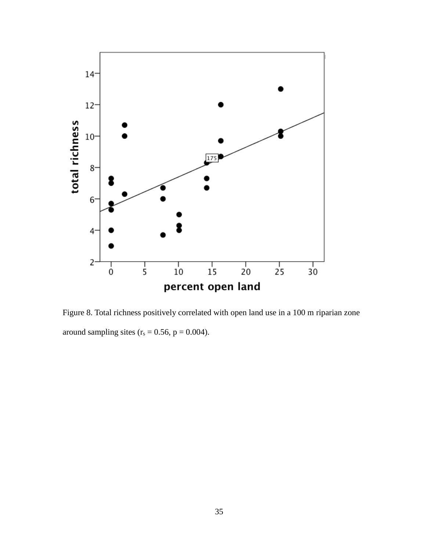

Figure 8. Total richness positively correlated with open land use in a 100 m riparian zone around sampling sites  $(r_s = 0.56, p = 0.004)$ .